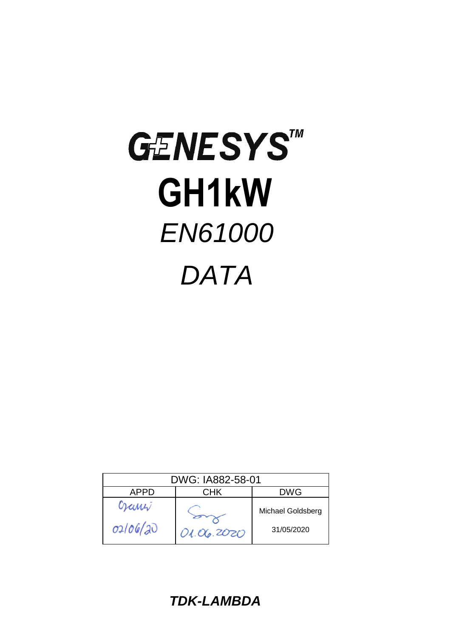# GENESYSTM  **GH1kW**  *EN61000 DATA*

| DWG: IA882-58-01 |            |                   |  |
|------------------|------------|-------------------|--|
| APPD             | CHK        | DWG               |  |
| Gami<br>02/06/20 |            | Michael Goldsberg |  |
|                  | 01.06.2020 | 31/05/2020        |  |

*TDK-LAMBDA*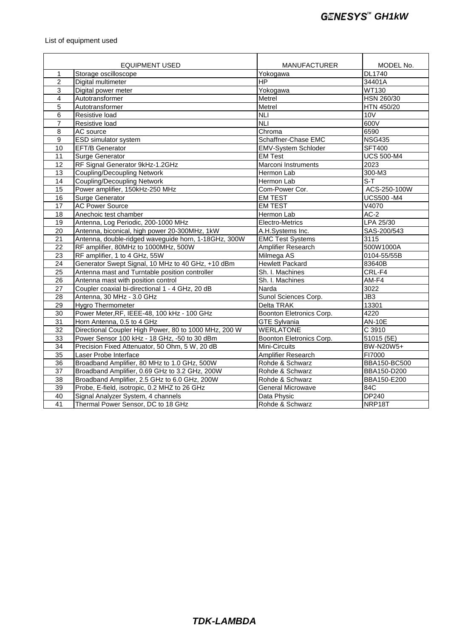### List of equipment used

|                           | <b>EQUIPMENT USED</b>                                 | <b>MANUFACTURER</b>        | MODEL No.         |
|---------------------------|-------------------------------------------------------|----------------------------|-------------------|
| Storage oscilloscope<br>1 |                                                       | Yokogawa                   | DL1740            |
| $\overline{2}$            | Digital multimeter                                    | <b>HP</b>                  | 34401A            |
| 3                         | Digital power meter                                   | Yokogawa                   | <b>WT130</b>      |
| $\overline{\mathbf{4}}$   | Autotransformer                                       | Metrel                     | HSN 260/30        |
| 5                         | Autotransformer                                       | Metrel                     | HTN 450/20        |
| 6                         | Resistive load                                        | <b>NLI</b>                 | 10V               |
| 7                         | Resistive load                                        | $\overline{N}$             | 600V              |
| 8                         | AC source                                             | Chroma                     | 6590              |
| 9                         | ESD simulator system                                  | Schaffner-Chase EMC        | <b>NSG435</b>     |
| 10                        | <b>EFT/B Generator</b>                                | <b>EMV-System Schloder</b> | <b>SFT400</b>     |
| 11                        | <b>Surge Generator</b>                                | <b>EM Test</b>             | <b>UCS 500-M4</b> |
| 12                        | RF Signal Generator 9kHz-1.2GHz                       | Marconi Instruments        | 2023              |
| 13                        | <b>Coupling/Decoupling Network</b>                    | Hermon Lab                 | 300-M3            |
| 14                        | <b>Coupling/Decoupling Network</b>                    | Hermon Lab                 | $S-T$             |
| 15                        | Power amplifier, 150kHz-250 MHz                       | Com-Power Cor.             | ACS-250-100W      |
| 16                        | Surge Generator                                       | <b>EM TEST</b>             | <b>UCS500 -M4</b> |
| $\overline{17}$           | <b>AC Power Source</b>                                | <b>EM TEST</b>             | V4070             |
| 18                        | Anechoic test chamber                                 | Hermon Lab                 | $AC-2$            |
| 19                        | Antenna, Log Periodic, 200-1000 MHz                   | Electro-Metrics            | LPA 25/30         |
| 20                        | Antenna, biconical, high power 20-300MHz, 1kW         | A.H.Systems Inc.           | SAS-200/543       |
| 21                        | Antenna, double-ridged waveguide horn, 1-18GHz, 300W  | <b>EMC Test Systems</b>    | 3115              |
| $\overline{22}$           | RF amplifier, 80MHz to 1000MHz, 500W                  | Amplifier Research         | 500W1000A         |
| 23                        | RF amplifier, 1 to 4 GHz, 55W                         | Milmega AS                 | 0104-55/55B       |
| $\overline{24}$           | Generator Swept Signal, 10 MHz to 40 GHz, +10 dBm     | <b>Hewlett Packard</b>     | 83640B            |
| 25                        | Antenna mast and Turntable position controller        | Sh. I. Machines            | CRL-F4            |
| 26                        | Antenna mast with position control                    | Sh. I. Machines            | AM-F4             |
| 27                        | Coupler coaxial bi-directional 1 - 4 GHz, 20 dB       | Narda                      | 3022              |
| 28                        | Antenna, 30 MHz - 3.0 GHz                             | Sunol Sciences Corp.       | JB3               |
| $\overline{29}$           | <b>Hygro Thermometer</b>                              | <b>Delta TRAK</b>          | 13301             |
| 30                        | Power Meter, RF, IEEE-48, 100 kHz - 100 GHz           | Boonton Eletronics Corp.   | 4220              |
| 31                        | Horn Antenna, 0.5 to 4 GHz                            | <b>GTE Sylvania</b>        | <b>AN-10E</b>     |
| 32                        | Directional Coupler High Power, 80 to 1000 MHz, 200 W | <b>WERLATONE</b>           | C 3910            |
| 33                        | Power Sensor 100 kHz - 18 GHz, -50 to 30 dBm          | Boonton Eletronics Corp.   | 51015 (5E)        |
| 34                        | Precision Fixed Attenuator, 50 Ohm, 5 W, 20 dB        | Mini-Circuits              | BW-N20W5+         |
| 35                        | Laser Probe Interface                                 | Amplifier Research         | FI7000            |
| 36                        | Broadband Amplifier, 80 MHz to 1.0 GHz, 500W          | Rohde & Schwarz            | BBA150-BC500      |
| 37                        | Broadband Amplifier, 0.69 GHz to 3.2 GHz, 200W        | Rohde & Schwarz            | BBA150-D200       |
| 38                        | Broadband Amplifier, 2.5 GHz to 6.0 GHz, 200W         | Rohde & Schwarz            | BBA150-E200       |
| 39                        | Probe, E-field, isotropic, 0.2 MHZ to 26 GHz          | <b>General Microwave</b>   | 84C               |
| 40                        | Signal Analyzer System, 4 channels                    | Data Physic                | <b>DP240</b>      |
| 41                        | Thermal Power Sensor, DC to 18 GHz                    | Rohde & Schwarz            | NRP18T            |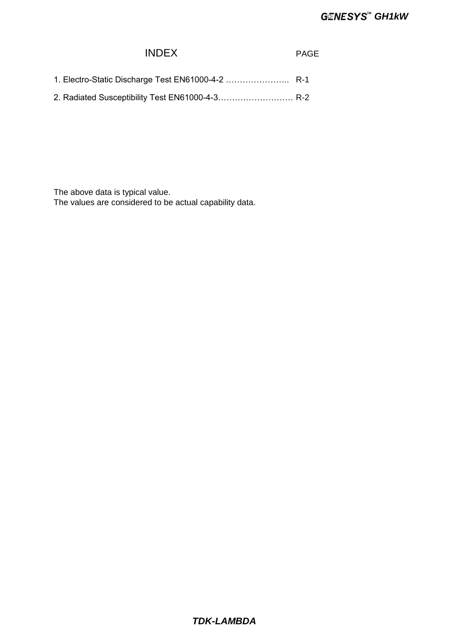## INDEX PAGE

| 1. Electro-Static Discharge Test EN61000-4-2  R-1 |  |
|---------------------------------------------------|--|
|                                                   |  |

2. Radiated Susceptibility Test EN61000-4-3…………………………R-2

The above data is typical value.

The values are considered to be actual capability data.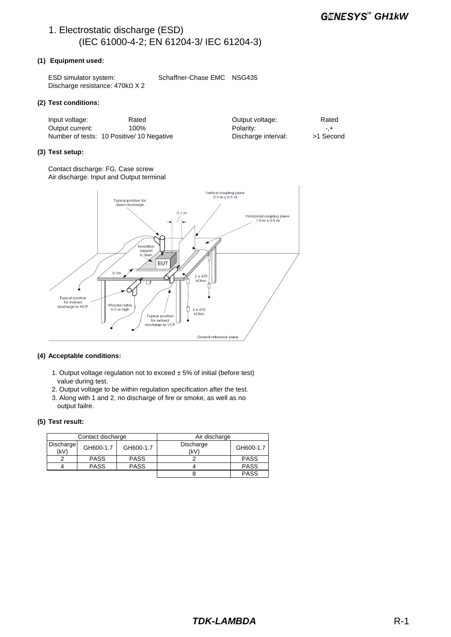## 1. Electrostatic discharge (ESD) (IEC 61000-4-2; EN 61204-3/ IEC 61204-3)

#### **(1) Equipment used:**

ESD simulator system: Schaffner-Chase EMC NSG435 Discharge resistance: 470kΩ X 2

#### **(2) Test conditions:**

| Input voltage:  | Rated                                     | Output voltage:     | Rated     |
|-----------------|-------------------------------------------|---------------------|-----------|
| Output current: | 100%                                      | Polarity:           | $-+$      |
|                 | Number of tests: 10 Positive/ 10 Negative | Discharge interval: | >1 Second |

#### **(3) Test setup:**

Contact discharge: FG, Case screw Air discharge: Input and Output terminal



#### **(4) Acceptable conditions:**

- 1. Output voltage regulation not to exceed  $\pm$  5% of initial (before test) value during test.
- 2. Output voltage to be within regulation specification after the test.
- 3. Along with 1 and 2, no discharge of fire or smoke, as well as no output failre.

#### **(5) Test result:**

| Contact discharge |             |             | Air discharge     |             |
|-------------------|-------------|-------------|-------------------|-------------|
| Discharge<br>(kV) | GH600-1.7   | GH600-1.7   | Discharge<br>(kV) | GH600-1.7   |
|                   | <b>PASS</b> | <b>PASS</b> |                   | <b>PASS</b> |
|                   | <b>PASS</b> | <b>PASS</b> |                   | <b>PASS</b> |
|                   |             |             |                   | <b>PASS</b> |